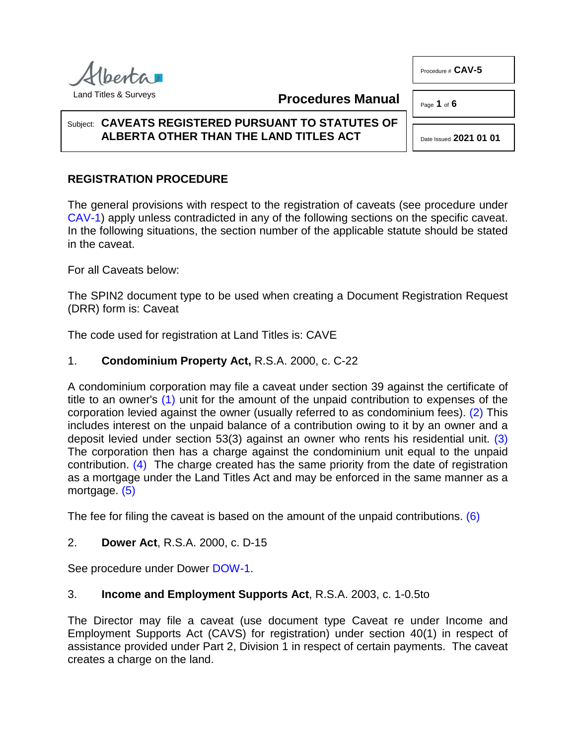Procedure # **CAV-5** 

Page **1** of **6**

#### Subject: **CAVEATS REGISTERED PURSUANT TO STATUTES OF ALBERTA OTHER THAN THE LAND TITLES ACT**

<span id="page-0-5"></span><span id="page-0-2"></span><span id="page-0-1"></span>Date Issued **2021 01 01**

# **REGISTRATION PROCEDURE**

The general provisions with respect to the registration of caveats (see procedure under [CAV-1\)](http://www.servicealberta.ca/pdf/ltmanual/CAV-1.pdf) apply unless contradicted in any of the following sections on the specific caveat. In the following situations, the section number of the applicable statute should be stated in the caveat.

**Procedures Manual**

For all Caveats below:

The SPIN2 document type to be used when creating a Document Registration Request (DRR) form is: Caveat

The code used for registration at Land Titles is: CAVE

## 1. **Condominium Property Act,** R.S.A. 2000, c. C-22

<span id="page-0-0"></span>A condominium corporation may file a caveat under section 39 against the certificate of title to an owner's [\(1\)](#page-5-0) unit for the amount of the unpaid contribution to expenses of the corporation levied against the owner (usually referred to as condominium fees). [\(2\)](#page-5-1) This includes interest on the unpaid balance of a contribution owing to it by an owner and a deposit levied under section 53(3) against an owner who rents his residential unit. [\(3\)](#page-5-2) The corporation then has a charge against the condominium unit equal to the unpaid contribution. [\(4\)](#page-5-3) The charge created has the same priority from the date of registration as a mortgage under the Land Titles Act and may be enforced in the same manner as a mortgage. [\(5\)](#page-5-4)

<span id="page-0-4"></span><span id="page-0-3"></span>The fee for filing the caveat is based on the amount of the unpaid contributions. [\(6\)](#page-5-5)

2. **Dower Act**, R.S.A. 2000, c. D-15

See procedure under Dower [DOW-1.](http://www.servicealberta.ca/pdf/ltmanual/DOW-1.pdf)

# 3. **Income and Employment Supports Act**, R.S.A. 2003, c. 1-0.5to

The Director may file a caveat (use document type Caveat re under Income and Employment Supports Act (CAVS) for registration) under section 40(1) in respect of assistance provided under Part 2, Division 1 in respect of certain payments. The caveat creates a charge on the land.

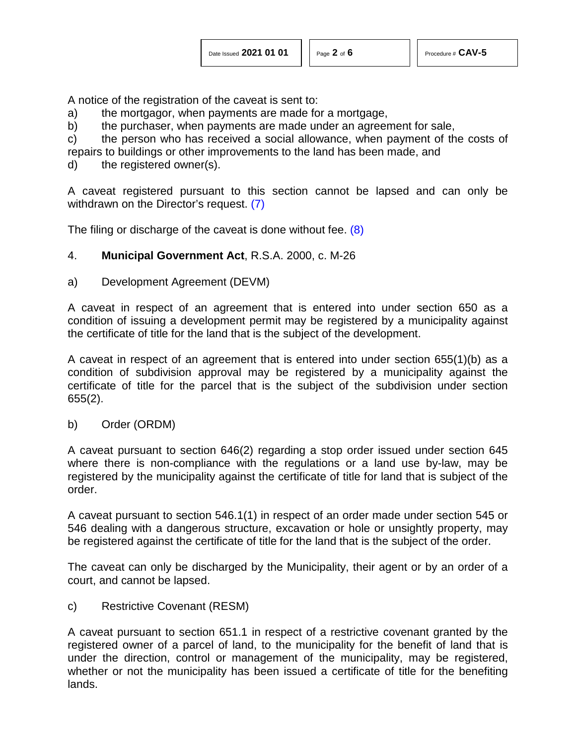A notice of the registration of the caveat is sent to:

- a) the mortgagor, when payments are made for a mortgage,
- b) the purchaser, when payments are made under an agreement for sale,

c) the person who has received a social allowance, when payment of the costs of repairs to buildings or other improvements to the land has been made, and

d) the registered owner(s).

<span id="page-1-0"></span>A caveat registered pursuant to this section cannot be lapsed and can only be withdrawn on the Director's request. [\(7\)](#page-5-6)

<span id="page-1-1"></span>The filing or discharge of the caveat is done without fee. [\(8\)](#page-5-7)

### 4. **Municipal Government Act**, R.S.A. 2000, c. M-26

a) Development Agreement (DEVM)

A caveat in respect of an agreement that is entered into under section 650 as a condition of issuing a development permit may be registered by a municipality against the certificate of title for the land that is the subject of the development.

A caveat in respect of an agreement that is entered into under section 655(1)(b) as a condition of subdivision approval may be registered by a municipality against the certificate of title for the parcel that is the subject of the subdivision under section 655(2).

b) Order (ORDM)

A caveat pursuant to section 646(2) regarding a stop order issued under section 645 where there is non-compliance with the regulations or a land use by-law, may be registered by the municipality against the certificate of title for land that is subject of the order.

A caveat pursuant to section 546.1(1) in respect of an order made under section 545 or 546 dealing with a dangerous structure, excavation or hole or unsightly property, may be registered against the certificate of title for the land that is the subject of the order.

The caveat can only be discharged by the Municipality, their agent or by an order of a court, and cannot be lapsed.

c) Restrictive Covenant (RESM)

A caveat pursuant to section 651.1 in respect of a restrictive covenant granted by the registered owner of a parcel of land, to the municipality for the benefit of land that is under the direction, control or management of the municipality, may be registered, whether or not the municipality has been issued a certificate of title for the benefiting lands.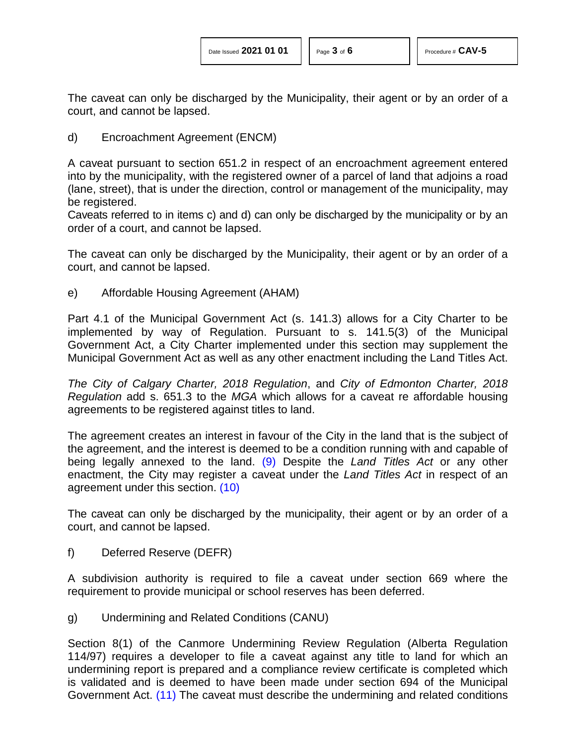The caveat can only be discharged by the Municipality, their agent or by an order of a court, and cannot be lapsed.

d) Encroachment Agreement (ENCM)

A caveat pursuant to section 651.2 in respect of an encroachment agreement entered into by the municipality, with the registered owner of a parcel of land that adjoins a road (lane, street), that is under the direction, control or management of the municipality, may be registered.

Caveats referred to in items c) and d) can only be discharged by the municipality or by an order of a court, and cannot be lapsed.

The caveat can only be discharged by the Municipality, their agent or by an order of a court, and cannot be lapsed.

e) Affordable Housing Agreement (AHAM)

Part 4.1 of the Municipal Government Act (s. 141.3) allows for a City Charter to be implemented by way of Regulation. Pursuant to s. 141.5(3) of the Municipal Government Act, a City Charter implemented under this section may supplement the Municipal Government Act as well as any other enactment including the Land Titles Act.

*The City of Calgary Charter, 2018 Regulation*, and *City of Edmonton Charter, 2018 Regulation* add s. 651.3 to the *MGA* which allows for a caveat re affordable housing agreements to be registered against titles to land.

<span id="page-2-0"></span>The agreement creates an interest in favour of the City in the land that is the subject of the agreement, and the interest is deemed to be a condition running with and capable of being legally annexed to the land. [\(9\)](#page-5-8) Despite the *Land Titles Act* or any other enactment, the City may register a caveat under the *Land Titles Act* in respect of an agreement under this section. [\(10\)](#page-5-9)

<span id="page-2-1"></span>The caveat can only be discharged by the municipality, their agent or by an order of a court, and cannot be lapsed.

f) Deferred Reserve (DEFR)

A subdivision authority is required to file a caveat under section 669 where the requirement to provide municipal or school reserves has been deferred.

g) Undermining and Related Conditions (CANU)

<span id="page-2-2"></span>Section 8(1) of the Canmore Undermining Review Regulation (Alberta Regulation 114/97) requires a developer to file a caveat against any title to land for which an undermining report is prepared and a compliance review certificate is completed which is validated and is deemed to have been made under section 694 of the Municipal Government Act. [\(11\)](#page-5-10) The caveat must describe the undermining and related conditions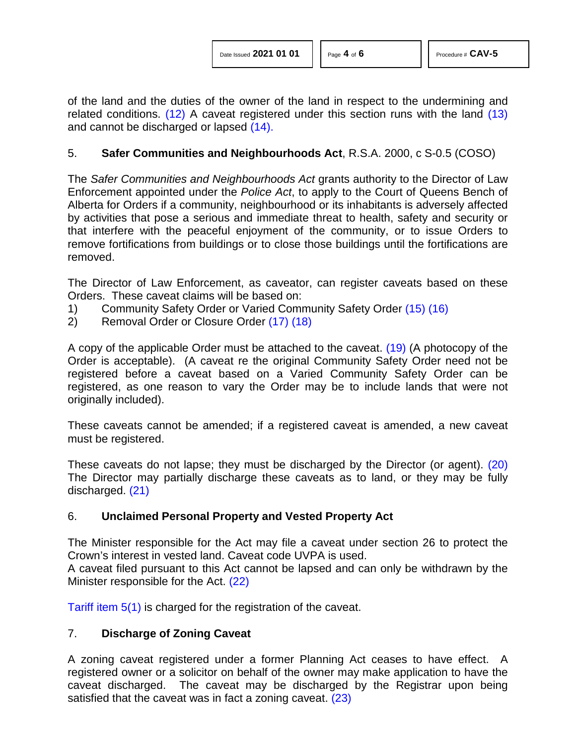<span id="page-3-7"></span><span id="page-3-4"></span><span id="page-3-3"></span><span id="page-3-2"></span><span id="page-3-1"></span>

<span id="page-3-0"></span>of the land and the duties of the owner of the land in respect to the undermining and related conditions. [\(12\)](#page-5-11) A caveat registered under this section runs with the land [\(13\)](#page-5-12) and cannot be discharged or lapsed [\(14\).](#page-5-13)

#### 5. **Safer Communities and Neighbourhoods Act**, R.S.A. 2000, c S-0.5 (COSO)

The *Safer Communities and Neighbourhoods Act* grants authority to the Director of Law Enforcement appointed under the *Police Act*, to apply to the Court of Queens Bench of Alberta for Orders if a community, neighbourhood or its inhabitants is adversely affected by activities that pose a serious and immediate threat to health, safety and security or that interfere with the peaceful enjoyment of the community, or to issue Orders to remove fortifications from buildings or to close those buildings until the fortifications are removed.

The Director of Law Enforcement, as caveator, can register caveats based on these Orders. These caveat claims will be based on:

- 1) Community Safety Order or Varied Community Safety Order [\(15\)](#page-5-14) [\(16\)](#page-5-15)
- <span id="page-3-6"></span><span id="page-3-5"></span>2) Removal Order or Closure Order [\(17\)](#page-5-16) [\(18\)](#page-5-17)

A copy of the applicable Order must be attached to the caveat. [\(19\)](#page-5-18) (A photocopy of the Order is acceptable). (A caveat re the original Community Safety Order need not be registered before a caveat based on a Varied Community Safety Order can be registered, as one reason to vary the Order may be to include lands that were not originally included).

These caveats cannot be amended; if a registered caveat is amended, a new caveat must be registered.

<span id="page-3-9"></span><span id="page-3-8"></span>These caveats do not lapse; they must be discharged by the Director (or agent). (20) The Director may partially discharge these caveats as to land, or they may be fully discharged. [\(21\)](#page-5-19)

#### 6. **Unclaimed Personal Property and Vested Property Act**

The Minister responsible for the Act may file a caveat under section 26 to protect the Crown's interest in vested land. Caveat code UVPA is used.

<span id="page-3-10"></span>A caveat filed pursuant to this Act cannot be lapsed and can only be withdrawn by the Minister responsible for the Act. [\(22\)](#page-5-20)

[Tariff item 5\(1\)](http://www.servicealberta.gov.ab.ca/pdf/ltmanual/APPENDIXI.pdf) is charged for the registration of the caveat.

### 7. **Discharge of Zoning Caveat**

<span id="page-3-11"></span>A zoning caveat registered under a former Planning Act ceases to have effect. A registered owner or a solicitor on behalf of the owner may make application to have the caveat discharged. The caveat may be discharged by the Registrar upon being satisfied that the caveat was in fact a zoning caveat. [\(23\)](#page-5-21)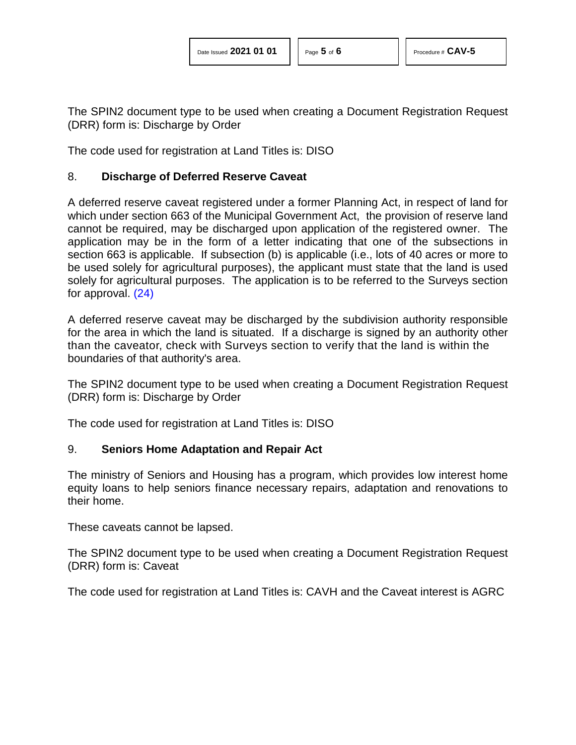The SPIN2 document type to be used when creating a Document Registration Request (DRR) form is: Discharge by Order

The code used for registration at Land Titles is: DISO

#### 8. **Discharge of Deferred Reserve Caveat**

A deferred reserve caveat registered under a former Planning Act, in respect of land for which under section 663 of the Municipal Government Act, the provision of reserve land cannot be required, may be discharged upon application of the registered owner. The application may be in the form of a letter indicating that one of the subsections in section 663 is applicable. If subsection (b) is applicable (i.e., lots of 40 acres or more to be used solely for agricultural purposes), the applicant must state that the land is used solely for agricultural purposes. The application is to be referred to the Surveys section for approval. [\(24\)](#page-5-22)

<span id="page-4-0"></span>A deferred reserve caveat may be discharged by the subdivision authority responsible for the area in which the land is situated. If a discharge is signed by an authority other than the caveator, check with Surveys section to verify that the land is within the boundaries of that authority's area.

The SPIN2 document type to be used when creating a Document Registration Request (DRR) form is: Discharge by Order

The code used for registration at Land Titles is: DISO

#### 9. **Seniors Home Adaptation and Repair Act**

The ministry of Seniors and Housing has a program, which provides low interest home equity loans to help seniors finance necessary repairs, adaptation and renovations to their home.

These caveats cannot be lapsed.

The SPIN2 document type to be used when creating a Document Registration Request (DRR) form is: Caveat

The code used for registration at Land Titles is: CAVH and the Caveat interest is AGRC